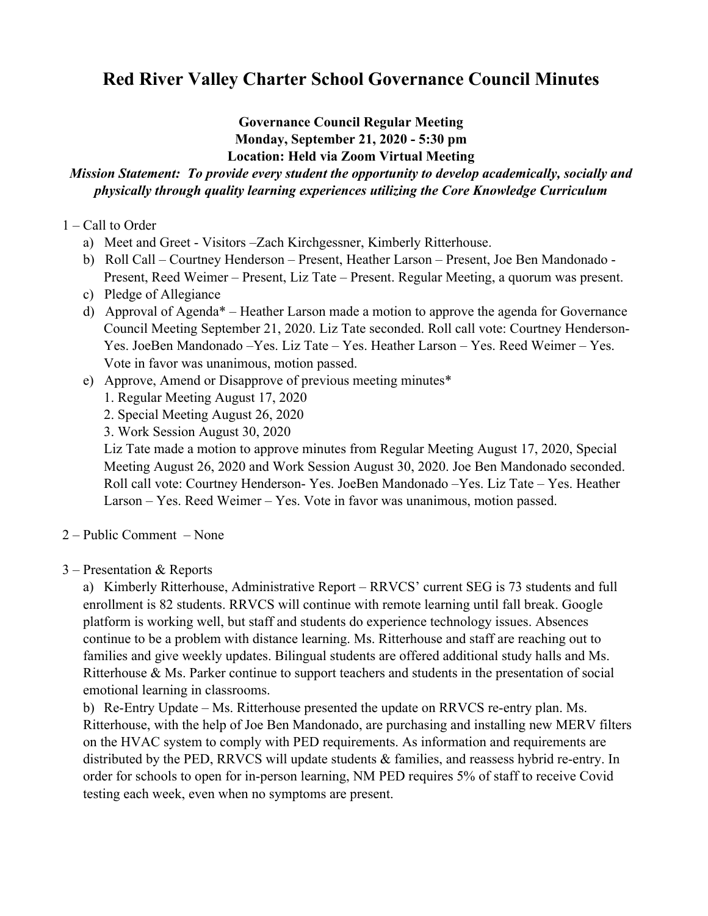# **Red River Valley Charter School Governance Council Minutes**

#### **Governance Council Regular Meeting Monday, September 21, 2020 - 5:30 pm Location: Held via Zoom Virtual Meeting**

## *Mission Statement: To provide every student the opportunity to develop academically, socially and physically through quality learning experiences utilizing the Core Knowledge Curriculum*

#### 1 – Call to Order

- a) Meet and Greet Visitors –Zach Kirchgessner, Kimberly Ritterhouse.
- b) Roll Call Courtney Henderson Present, Heather Larson Present, Joe Ben Mandonado Present, Reed Weimer – Present, Liz Tate – Present. Regular Meeting, a quorum was present.
- c) Pledge of Allegiance
- d) Approval of Agenda\* Heather Larson made a motion to approve the agenda for Governance Council Meeting September 21, 2020. Liz Tate seconded. Roll call vote: Courtney Henderson-Yes. JoeBen Mandonado –Yes. Liz Tate – Yes. Heather Larson – Yes. Reed Weimer – Yes. Vote in favor was unanimous, motion passed.
- e) Approve, Amend or Disapprove of previous meeting minutes\*
	- 1. Regular Meeting August 17, 2020
	- 2. Special Meeting August 26, 2020
	- 3. Work Session August 30, 2020

Liz Tate made a motion to approve minutes from Regular Meeting August 17, 2020, Special Meeting August 26, 2020 and Work Session August 30, 2020. Joe Ben Mandonado seconded. Roll call vote: Courtney Henderson- Yes. JoeBen Mandonado –Yes. Liz Tate – Yes. Heather Larson – Yes. Reed Weimer – Yes. Vote in favor was unanimous, motion passed.

- 2 Public Comment None
- 3 Presentation & Reports

a) Kimberly Ritterhouse, Administrative Report – RRVCS' current SEG is 73 students and full enrollment is 82 students. RRVCS will continue with remote learning until fall break. Google platform is working well, but staff and students do experience technology issues. Absences continue to be a problem with distance learning. Ms. Ritterhouse and staff are reaching out to families and give weekly updates. Bilingual students are offered additional study halls and Ms. Ritterhouse & Ms. Parker continue to support teachers and students in the presentation of social emotional learning in classrooms.

b) Re-Entry Update – Ms. Ritterhouse presented the update on RRVCS re-entry plan. Ms. Ritterhouse, with the help of Joe Ben Mandonado, are purchasing and installing new MERV filters on the HVAC system to comply with PED requirements. As information and requirements are distributed by the PED, RRVCS will update students  $\&$  families, and reassess hybrid re-entry. In order for schools to open for in-person learning, NM PED requires 5% of staff to receive Covid testing each week, even when no symptoms are present.